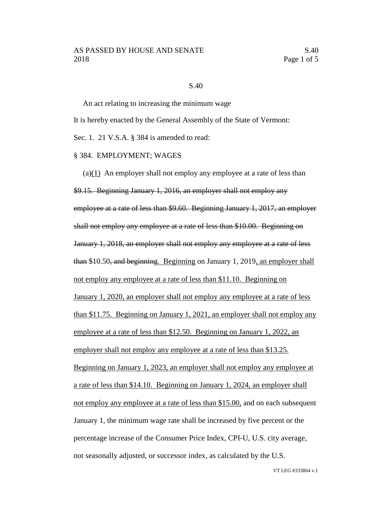## S.40

An act relating to increasing the minimum wage It is hereby enacted by the General Assembly of the State of Vermont: Sec. 1. 21 V.S.A. § 384 is amended to read:

## § 384. EMPLOYMENT; WAGES

(a)(1) An employer shall not employ any employee at a rate of less than \$9.15. Beginning January 1, 2016, an employer shall not employ any employee at a rate of less than \$9.60. Beginning January 1, 2017, an employer shall not employ any employee at a rate of less than \$10.00. Beginning on January 1, 2018, an employer shall not employ any employee at a rate of less than \$10.50, and beginning. Beginning on January 1, 2019, an employer shall not employ any employee at a rate of less than \$11.10. Beginning on January 1, 2020, an employer shall not employ any employee at a rate of less than \$11.75. Beginning on January 1, 2021, an employer shall not employ any employee at a rate of less than \$12.50. Beginning on January 1, 2022, an employer shall not employ any employee at a rate of less than \$13.25. Beginning on January 1, 2023, an employer shall not employ any employee at a rate of less than \$14.10. Beginning on January 1, 2024, an employer shall not employ any employee at a rate of less than \$15.00, and on each subsequent January 1, the minimum wage rate shall be increased by five percent or the percentage increase of the Consumer Price Index, CPI-U, U.S. city average, not seasonally adjusted, or successor index, as calculated by the U.S.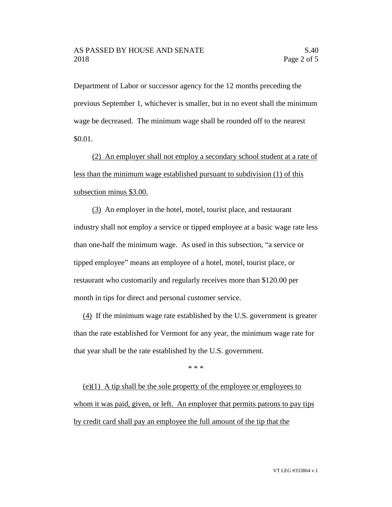Department of Labor or successor agency for the 12 months preceding the previous September 1, whichever is smaller, but in no event shall the minimum wage be decreased. The minimum wage shall be rounded off to the nearest \$0.01.

(2) An employer shall not employ a secondary school student at a rate of less than the minimum wage established pursuant to subdivision (1) of this subsection minus \$3.00.

(3) An employer in the hotel, motel, tourist place, and restaurant industry shall not employ a service or tipped employee at a basic wage rate less than one-half the minimum wage. As used in this subsection, "a service or tipped employee" means an employee of a hotel, motel, tourist place, or restaurant who customarily and regularly receives more than \$120.00 per month in tips for direct and personal customer service.

(4) If the minimum wage rate established by the U.S. government is greater than the rate established for Vermont for any year, the minimum wage rate for that year shall be the rate established by the U.S. government.

\* \* \*

 $(e)(1)$  A tip shall be the sole property of the employee or employees to whom it was paid, given, or left. An employer that permits patrons to pay tips by credit card shall pay an employee the full amount of the tip that the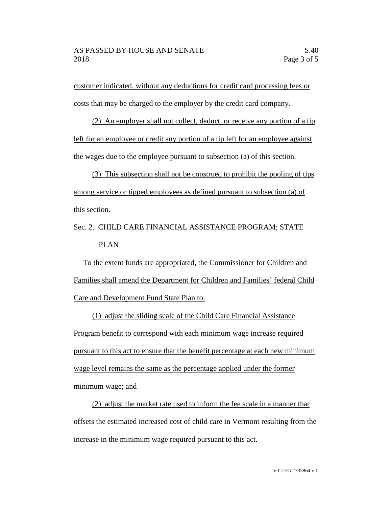customer indicated, without any deductions for credit card processing fees or costs that may be charged to the employer by the credit card company.

(2) An employer shall not collect, deduct, or receive any portion of a tip left for an employee or credit any portion of a tip left for an employee against the wages due to the employee pursuant to subsection (a) of this section.

(3) This subsection shall not be construed to prohibit the pooling of tips among service or tipped employees as defined pursuant to subsection (a) of this section.

Sec. 2. CHILD CARE FINANCIAL ASSISTANCE PROGRAM; STATE PLAN

To the extent funds are appropriated, the Commissioner for Children and Families shall amend the Department for Children and Families' federal Child Care and Development Fund State Plan to:

(1) adjust the sliding scale of the Child Care Financial Assistance Program benefit to correspond with each minimum wage increase required pursuant to this act to ensure that the benefit percentage at each new minimum wage level remains the same as the percentage applied under the former minimum wage; and

(2) adjust the market rate used to inform the fee scale in a manner that offsets the estimated increased cost of child care in Vermont resulting from the increase in the minimum wage required pursuant to this act.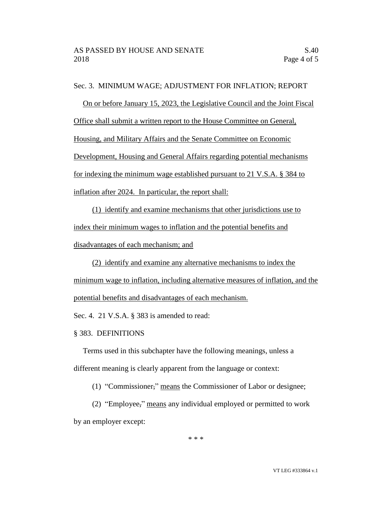Sec. 3. MINIMUM WAGE; ADJUSTMENT FOR INFLATION; REPORT

On or before January 15, 2023, the Legislative Council and the Joint Fiscal Office shall submit a written report to the House Committee on General, Housing, and Military Affairs and the Senate Committee on Economic Development, Housing and General Affairs regarding potential mechanisms for indexing the minimum wage established pursuant to 21 V.S.A. § 384 to inflation after 2024. In particular, the report shall:

(1) identify and examine mechanisms that other jurisdictions use to index their minimum wages to inflation and the potential benefits and disadvantages of each mechanism; and

(2) identify and examine any alternative mechanisms to index the minimum wage to inflation, including alternative measures of inflation, and the potential benefits and disadvantages of each mechanism.

Sec. 4. 21 V.S.A. § 383 is amended to read:

§ 383. DEFINITIONS

Terms used in this subchapter have the following meanings, unless a different meaning is clearly apparent from the language or context:

(1) "Commissioner," means the Commissioner of Labor or designee;

(2) "Employee," means any individual employed or permitted to work by an employer except:

\* \* \*